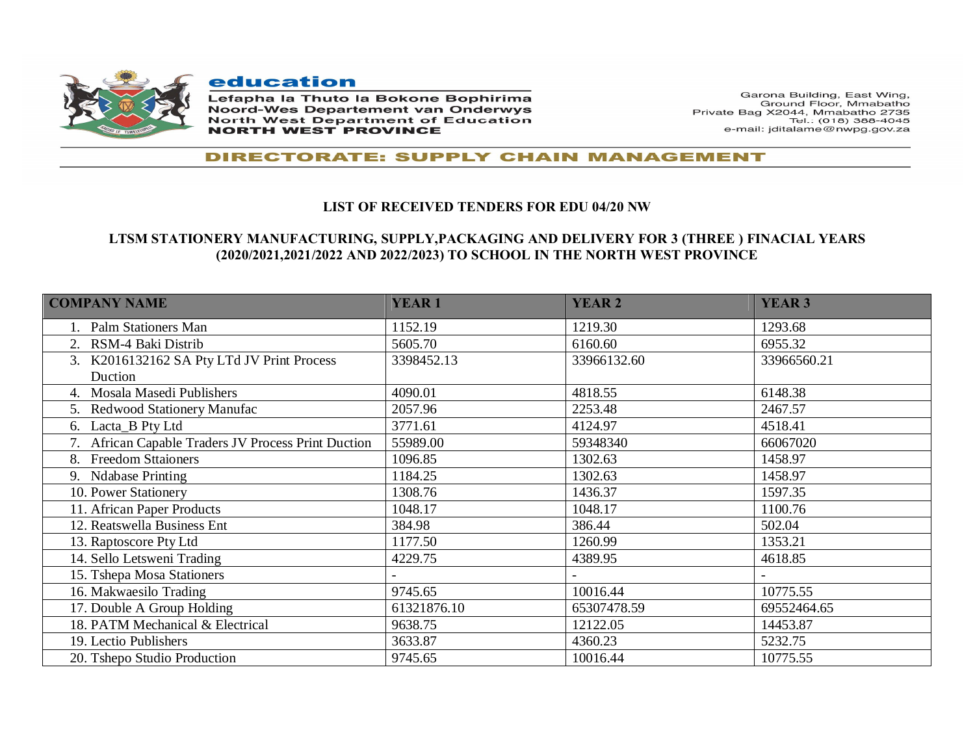

education

Lefapha la Thuto la Bokone Bophirima **Noord-Wes Departement van Onderwys North West Department of Education NORTH WEST PROVINCE** 

Garona Building, East Wing, Ground Floor, Mmabatho Private Bag X2044, Mmabatho 2735 Tel.: (018) 388-4045 e-mail: jditalame@nwpg.gov.za

## **DIRECTORATE: SUPPLY CHAIN MANAGEMENT**

## **LIST OF RECEIVED TENDERS FOR EDU 04/20 NW**

## **LTSM STATIONERY MANUFACTURING, SUPPLY,PACKAGING AND DELIVERY FOR 3 (THREE ) FINACIAL YEARS (2020/2021,2021/2022 AND 2022/2023) TO SCHOOL IN THE NORTH WEST PROVINCE**

| <b>COMPANY NAME</b>                                 | <b>YEAR1</b> | <b>YEAR 2</b> | <b>YEAR 3</b> |
|-----------------------------------------------------|--------------|---------------|---------------|
| 1. Palm Stationers Man                              | 1152.19      | 1219.30       | 1293.68       |
| 2. RSM-4 Baki Distrib                               | 5605.70      | 6160.60       | 6955.32       |
| 3. K2016132162 SA Pty LTd JV Print Process          | 3398452.13   | 33966132.60   | 33966560.21   |
| Duction                                             |              |               |               |
| 4. Mosala Masedi Publishers                         | 4090.01      | 4818.55       | 6148.38       |
| 5. Redwood Stationery Manufac                       | 2057.96      | 2253.48       | 2467.57       |
| 6. Lacta B Pty Ltd                                  | 3771.61      | 4124.97       | 4518.41       |
| 7. African Capable Traders JV Process Print Duction | 55989.00     | 59348340      | 66067020      |
| 8. Freedom Sttaioners                               | 1096.85      | 1302.63       | 1458.97       |
| 9. Ndabase Printing                                 | 1184.25      | 1302.63       | 1458.97       |
| 10. Power Stationery                                | 1308.76      | 1436.37       | 1597.35       |
| 11. African Paper Products                          | 1048.17      | 1048.17       | 1100.76       |
| 12. Reatswella Business Ent                         | 384.98       | 386.44        | 502.04        |
| 13. Raptoscore Pty Ltd                              | 1177.50      | 1260.99       | 1353.21       |
| 14. Sello Letsweni Trading                          | 4229.75      | 4389.95       | 4618.85       |
| 15. Tshepa Mosa Stationers                          |              |               |               |
| 16. Makwaesilo Trading                              | 9745.65      | 10016.44      | 10775.55      |
| 17. Double A Group Holding                          | 61321876.10  | 65307478.59   | 69552464.65   |
| 18. PATM Mechanical & Electrical                    | 9638.75      | 12122.05      | 14453.87      |
| 19. Lectio Publishers                               | 3633.87      | 4360.23       | 5232.75       |
| 20. Tshepo Studio Production                        | 9745.65      | 10016.44      | 10775.55      |